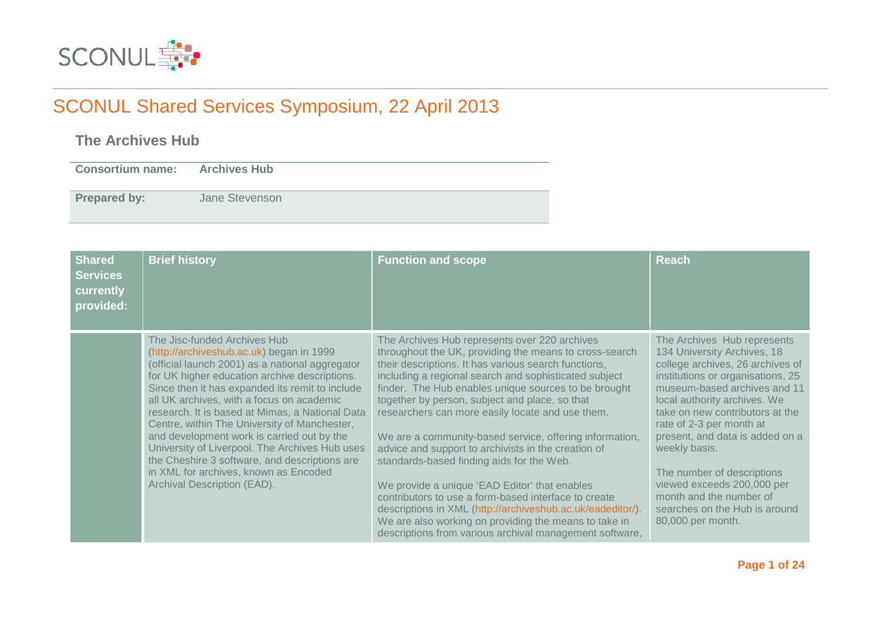

### **The Archives Hub**

**Consortium name: Archives Hub Prepared by:** Jane Stevenson

| <b>Shared</b><br><b>Services</b><br>currently<br>provided: | <b>Brief history</b>                                                                                                                                                                                                                                                                                                                                                                                                                                                                                                                                                                                     | <b>Function and scope</b>                                                                                                                                                                                                                                                                                                                                                                                                                                                                                                                                                                                                                                                                                                                                                                                                                        | <b>Reach</b>                                                                                                                                                                                                                                                                                                                                                                                                                                                        |
|------------------------------------------------------------|----------------------------------------------------------------------------------------------------------------------------------------------------------------------------------------------------------------------------------------------------------------------------------------------------------------------------------------------------------------------------------------------------------------------------------------------------------------------------------------------------------------------------------------------------------------------------------------------------------|--------------------------------------------------------------------------------------------------------------------------------------------------------------------------------------------------------------------------------------------------------------------------------------------------------------------------------------------------------------------------------------------------------------------------------------------------------------------------------------------------------------------------------------------------------------------------------------------------------------------------------------------------------------------------------------------------------------------------------------------------------------------------------------------------------------------------------------------------|---------------------------------------------------------------------------------------------------------------------------------------------------------------------------------------------------------------------------------------------------------------------------------------------------------------------------------------------------------------------------------------------------------------------------------------------------------------------|
|                                                            | The Jisc-funded Archives Hub<br>(http://archiveshub.ac.uk) began in 1999<br>(official launch 2001) as a national aggregator<br>for UK higher education archive descriptions.<br>Since then it has expanded its remit to include<br>all UK archives, with a focus on academic<br>research. It is based at Mimas, a National Data<br>Centre, within The University of Manchester,<br>and development work is carried out by the<br>University of Liverpool. The Archives Hub uses<br>the Cheshire 3 software, and descriptions are<br>in XML for archives, known as Encoded<br>Archival Description (EAD). | The Archives Hub represents over 220 archives<br>throughout the UK, providing the means to cross-search<br>their descriptions. It has various search functions,<br>including a regional search and sophisticated subject<br>finder. The Hub enables unique sources to be brought<br>together by person, subject and place, so that<br>researchers can more easily locate and use them.<br>We are a community-based service, offering information,<br>advice and support to archivists in the creation of<br>standards-based finding aids for the Web.<br>We provide a unique 'EAD Editor' that enables<br>contributors to use a form-based interface to create<br>descriptions in XML (http://archiveshub.ac.uk/eadeditor/).<br>We are also working on providing the means to take in<br>descriptions from various archival management software, | The Archives Hub represents<br>134 University Archives, 18<br>college archives, 26 archives of<br>institutions or organisations, 25<br>museum-based archives and 11<br>local authority archives. We<br>take on new contributors at the<br>rate of 2-3 per month at<br>present, and data is added on a<br>weekly basis.<br>The number of descriptions<br>viewed exceeds 200,000 per<br>month and the number of<br>searches on the Hub is around<br>80,000 per month. |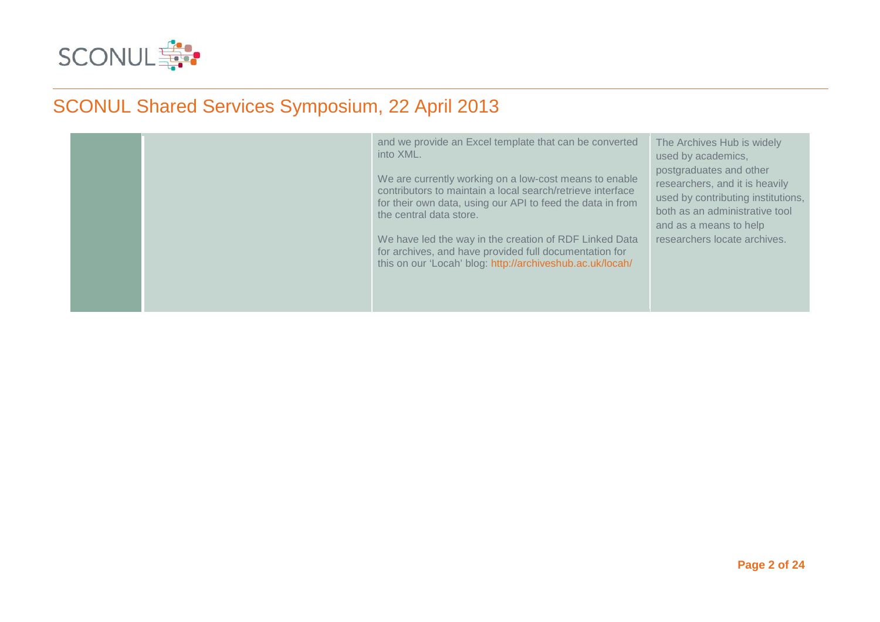

|  | and we provide an Excel template that can be converted<br>into XML.<br>We are currently working on a low-cost means to enable<br>contributors to maintain a local search/retrieve interface<br>for their own data, using our API to feed the data in from<br>the central data store.<br>We have led the way in the creation of RDF Linked Data<br>for archives, and have provided full documentation for<br>this on our 'Locah' blog: http://archiveshub.ac.uk/locah/ | The Archives Hub is widely<br>used by academics,<br>postgraduates and other<br>researchers, and it is heavily<br>used by contributing institutions,<br>both as an administrative tool<br>and as a means to help<br>researchers locate archives. |
|--|-----------------------------------------------------------------------------------------------------------------------------------------------------------------------------------------------------------------------------------------------------------------------------------------------------------------------------------------------------------------------------------------------------------------------------------------------------------------------|-------------------------------------------------------------------------------------------------------------------------------------------------------------------------------------------------------------------------------------------------|
|  |                                                                                                                                                                                                                                                                                                                                                                                                                                                                       |                                                                                                                                                                                                                                                 |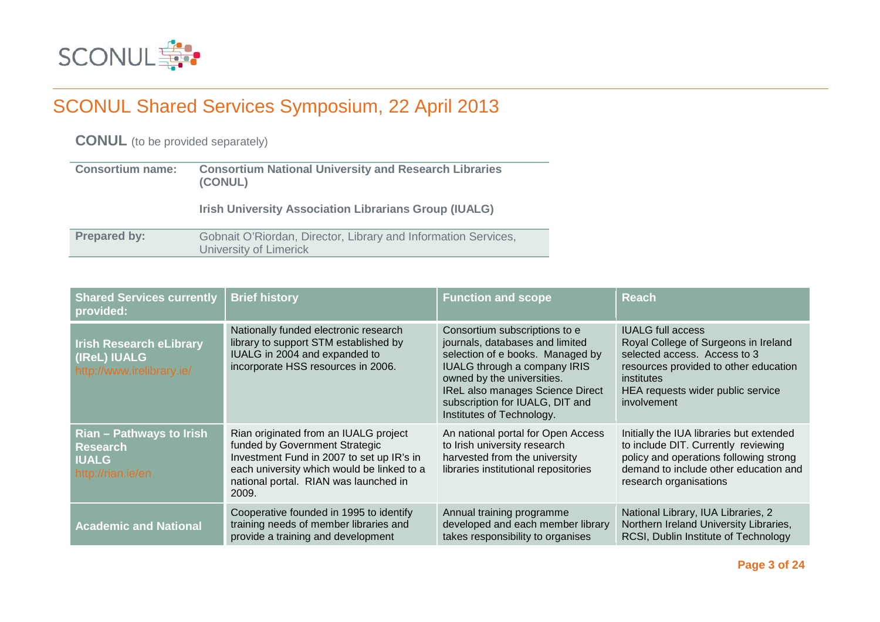

**CONUL** (to be provided separately)

| <b>Consortium name:</b> | <b>Consortium National University and Research Libraries</b><br>(CONUL)                  |  |
|-------------------------|------------------------------------------------------------------------------------------|--|
|                         | <b>Irish University Association Librarians Group (IUALG)</b>                             |  |
| <b>Prepared by:</b>     | Gobnait O'Riordan, Director, Library and Information Services,<br>University of Limerick |  |

| <b>Shared Services currently</b><br>provided:                                    | <b>Brief history</b>                                                                                                                                                                                                 | <b>Function and scope</b>                                                                                                                                                                                                                                                     | <b>Reach</b>                                                                                                                                                                                                              |
|----------------------------------------------------------------------------------|----------------------------------------------------------------------------------------------------------------------------------------------------------------------------------------------------------------------|-------------------------------------------------------------------------------------------------------------------------------------------------------------------------------------------------------------------------------------------------------------------------------|---------------------------------------------------------------------------------------------------------------------------------------------------------------------------------------------------------------------------|
| <b>Irish Research eLibrary</b><br>(IReL) IUALG<br>http://www.irelibrary.ie/      | Nationally funded electronic research<br>library to support STM established by<br>IUALG in 2004 and expanded to<br>incorporate HSS resources in 2006.                                                                | Consortium subscriptions to e<br>journals, databases and limited<br>selection of e books. Managed by<br><b>IUALG through a company IRIS</b><br>owned by the universities.<br>IReL also manages Science Direct<br>subscription for IUALG, DIT and<br>Institutes of Technology. | <b>IUALG</b> full access<br>Royal College of Surgeons in Ireland<br>selected access. Access to 3<br>resources provided to other education<br><i>institutes</i><br>HEA requests wider public service<br><i>involvement</i> |
| Rian - Pathways to Irish<br><b>Research</b><br><b>IUALG</b><br>http://rian.ie/en | Rian originated from an IUALG project<br>funded by Government Strategic<br>Investment Fund in 2007 to set up IR's in<br>each university which would be linked to a<br>national portal. RIAN was launched in<br>2009. | An national portal for Open Access<br>to Irish university research<br>harvested from the university<br>libraries institutional repositories                                                                                                                                   | Initially the IUA libraries but extended<br>to include DIT. Currently reviewing<br>policy and operations following strong<br>demand to include other education and<br>research organisations                              |
| <b>Academic and National</b>                                                     | Cooperative founded in 1995 to identify<br>training needs of member libraries and<br>provide a training and development                                                                                              | Annual training programme<br>developed and each member library<br>takes responsibility to organises                                                                                                                                                                           | National Library, IUA Libraries, 2<br>Northern Ireland University Libraries,<br>RCSI, Dublin Institute of Technology                                                                                                      |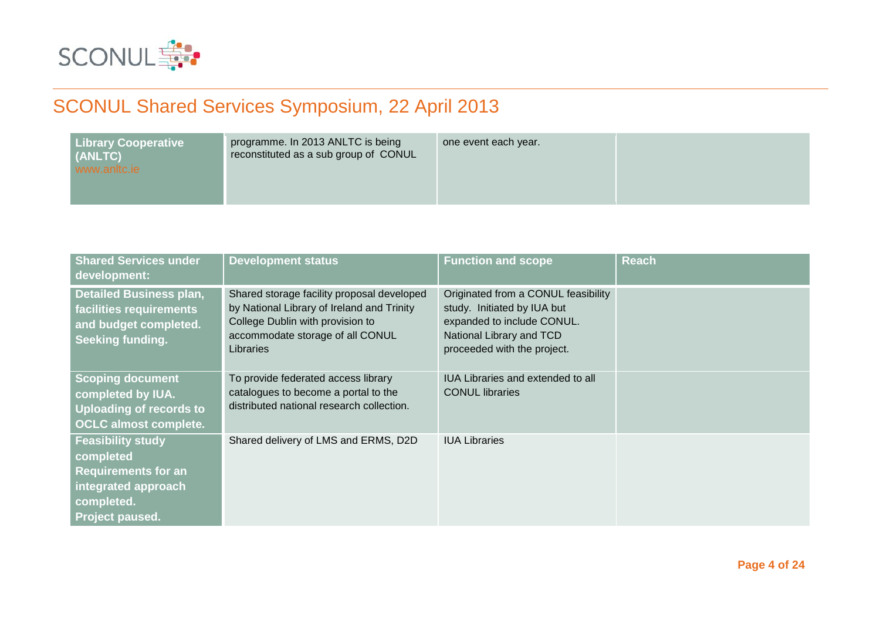

| <b>Library Cooperative</b><br>programme. In 2013 ANLTC is being<br>reconstituted as a sub group of CONUL<br>(ANLTC)<br>www.anltc.je | one event each year. |
|-------------------------------------------------------------------------------------------------------------------------------------|----------------------|
|-------------------------------------------------------------------------------------------------------------------------------------|----------------------|

| <b>Shared Services under</b><br>development:                                                                                | <b>Development status</b>                                                                                                                                                     | <b>Function and scope</b>                                                                                                                                   | <b>Reach</b> |
|-----------------------------------------------------------------------------------------------------------------------------|-------------------------------------------------------------------------------------------------------------------------------------------------------------------------------|-------------------------------------------------------------------------------------------------------------------------------------------------------------|--------------|
| <b>Detailed Business plan,</b><br>facilities requirements<br>and budget completed.<br>Seeking funding.                      | Shared storage facility proposal developed<br>by National Library of Ireland and Trinity<br>College Dublin with provision to<br>accommodate storage of all CONUL<br>Libraries | Originated from a CONUL feasibility<br>study. Initiated by IUA but<br>expanded to include CONUL.<br>National Library and TCD<br>proceeded with the project. |              |
| <b>Scoping document</b><br>completed by IUA.<br><b>Uploading of records to</b><br><b>OCLC almost complete.</b>              | To provide federated access library<br>catalogues to become a portal to the<br>distributed national research collection.                                                      | IUA Libraries and extended to all<br><b>CONUL</b> libraries                                                                                                 |              |
| <b>Feasibility study</b><br>completed<br><b>Requirements for an</b><br>integrated approach<br>completed.<br>Project paused. | Shared delivery of LMS and ERMS, D2D                                                                                                                                          | <b>IUA Libraries</b>                                                                                                                                        |              |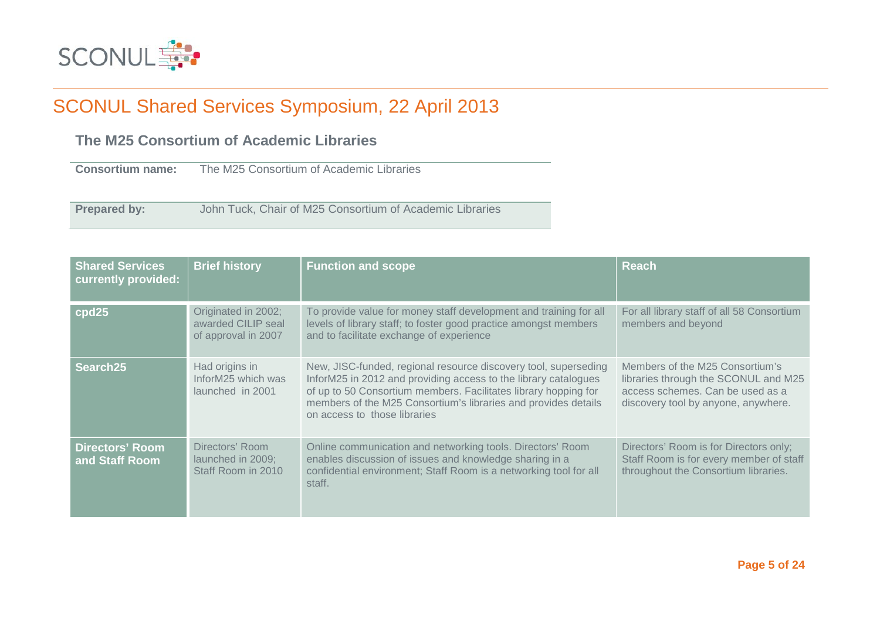

### **The M25 Consortium of Academic Libraries**

**Consortium name:** The M25 Consortium of Academic Libraries

**Prepared by:** John Tuck, Chair of M25 Consortium of Academic Libraries

| <b>Shared Services</b><br>currently provided: | <b>Brief history</b>                                             | <b>Function and scope</b>                                                                                                                                                                                                                                                                               | <b>Reach</b>                                                                                                                                       |
|-----------------------------------------------|------------------------------------------------------------------|---------------------------------------------------------------------------------------------------------------------------------------------------------------------------------------------------------------------------------------------------------------------------------------------------------|----------------------------------------------------------------------------------------------------------------------------------------------------|
| cpd25                                         | Originated in 2002;<br>awarded CILIP seal<br>of approval in 2007 | To provide value for money staff development and training for all<br>levels of library staff; to foster good practice amongst members<br>and to facilitate exchange of experience                                                                                                                       | For all library staff of all 58 Consortium<br>members and beyond                                                                                   |
| Search25                                      | Had origins in<br>InforM25 which was<br>launched in 2001         | New, JISC-funded, regional resource discovery tool, superseding<br>InforM25 in 2012 and providing access to the library catalogues<br>of up to 50 Consortium members. Facilitates library hopping for<br>members of the M25 Consortium's libraries and provides details<br>on access to those libraries | Members of the M25 Consortium's<br>libraries through the SCONUL and M25<br>access schemes. Can be used as a<br>discovery tool by anyone, anywhere. |
| Directors' Room<br>and Staff Room             | Directors' Room<br>launched in 2009;<br>Staff Room in 2010       | Online communication and networking tools. Directors' Room<br>enables discussion of issues and knowledge sharing in a<br>confidential environment; Staff Room is a networking tool for all<br>staff.                                                                                                    | Directors' Room is for Directors only;<br>Staff Room is for every member of staff<br>throughout the Consortium libraries.                          |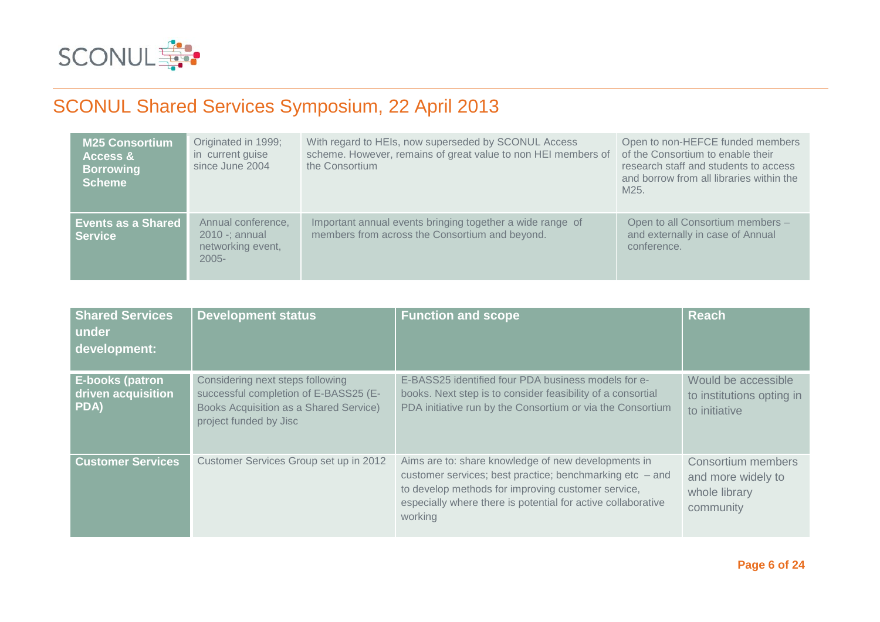

| <b>M25 Consortium</b><br><b>Access &amp;</b><br><b>Borrowing</b><br><b>Scheme</b> | Originated in 1999;<br>in current guise<br>since June 2004               | With regard to HEIs, now superseded by SCONUL Access<br>scheme. However, remains of great value to non HEI members of<br>the Consortium | Open to non-HEFCE funded members<br>of the Consortium to enable their<br>research staff and students to access<br>and borrow from all libraries within the<br>M25. |
|-----------------------------------------------------------------------------------|--------------------------------------------------------------------------|-----------------------------------------------------------------------------------------------------------------------------------------|--------------------------------------------------------------------------------------------------------------------------------------------------------------------|
| <b>Events as a Shared</b><br><b>Service</b>                                       | Annual conference,<br>$2010 -$ ; annual<br>networking event,<br>$2005 -$ | Important annual events bringing together a wide range of<br>members from across the Consortium and beyond.                             | Open to all Consortium members -<br>and externally in case of Annual<br>conference.                                                                                |

| <b>Shared Services</b><br>under<br>development:      | <b>Development status</b>                                                                                                                     | <b>Function and scope</b>                                                                                                                                                                                                                          | <b>Reach</b>                                                           |
|------------------------------------------------------|-----------------------------------------------------------------------------------------------------------------------------------------------|----------------------------------------------------------------------------------------------------------------------------------------------------------------------------------------------------------------------------------------------------|------------------------------------------------------------------------|
| <b>E-books (patron</b><br>driven acquisition<br>PDA) | Considering next steps following<br>successful completion of E-BASS25 (E-<br>Books Acquisition as a Shared Service)<br>project funded by Jisc | E-BASS25 identified four PDA business models for e-<br>books. Next step is to consider feasibility of a consortial<br>PDA initiative run by the Consortium or via the Consortium                                                                   | Would be accessible<br>to institutions opting in<br>to initiative      |
| <b>Customer Services</b>                             | Customer Services Group set up in 2012                                                                                                        | Aims are to: share knowledge of new developments in<br>customer services; best practice; benchmarking etc $-$ and<br>to develop methods for improving customer service,<br>especially where there is potential for active collaborative<br>working | Consortium members<br>and more widely to<br>whole library<br>community |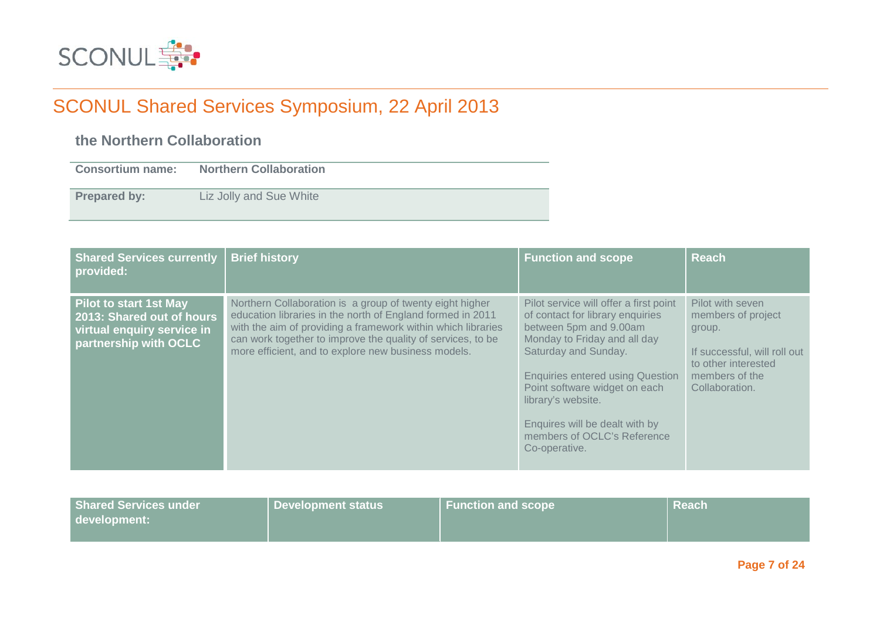

### **the Northern Collaboration**

| <b>Consortium name:</b> | <b>Northern Collaboration</b> |
|-------------------------|-------------------------------|
| <b>Prepared by:</b>     | Liz Jolly and Sue White       |

| <b>Shared Services currently</b><br>provided:                                                                     | <b>Brief history</b>                                                                                                                                                                                                                                                                                         | <b>Function and scope</b>                                                                                                                                                                                                                                                                                                                        | <b>Reach</b>                                                                                                                                |
|-------------------------------------------------------------------------------------------------------------------|--------------------------------------------------------------------------------------------------------------------------------------------------------------------------------------------------------------------------------------------------------------------------------------------------------------|--------------------------------------------------------------------------------------------------------------------------------------------------------------------------------------------------------------------------------------------------------------------------------------------------------------------------------------------------|---------------------------------------------------------------------------------------------------------------------------------------------|
| <b>Pilot to start 1st May</b><br>2013: Shared out of hours<br>virtual enquiry service in<br>partnership with OCLC | Northern Collaboration is a group of twenty eight higher<br>education libraries in the north of England formed in 2011<br>with the aim of providing a framework within which libraries<br>can work together to improve the quality of services, to be<br>more efficient, and to explore new business models. | Pilot service will offer a first point<br>of contact for library enquiries<br>between 5pm and 9.00am<br>Monday to Friday and all day<br>Saturday and Sunday.<br><b>Enquiries entered using Question</b><br>Point software widget on each<br>library's website.<br>Enquires will be dealt with by<br>members of OCLC's Reference<br>Co-operative. | Pilot with seven<br>members of project<br>group.<br>If successful, will roll out<br>to other interested<br>members of the<br>Collaboration. |

| <b>Shared Services under</b> | Development status | <b>Function and scope</b> | <b>Reach</b> |
|------------------------------|--------------------|---------------------------|--------------|
| development:                 |                    |                           |              |
|                              |                    |                           |              |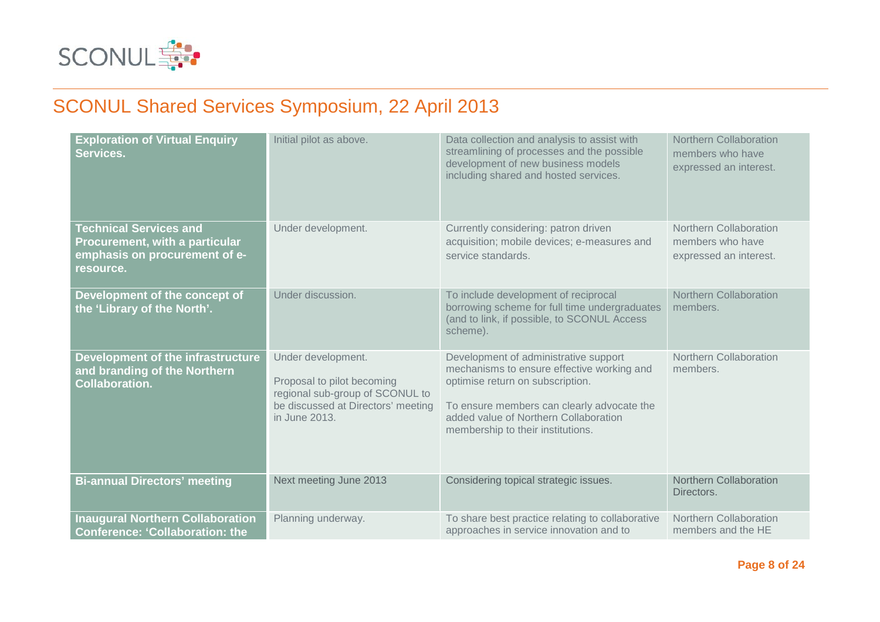

| <b>Exploration of Virtual Enquiry</b><br>Services.                                                            | Initial pilot as above.                                                                                                                    | Data collection and analysis to assist with<br>streamlining of processes and the possible<br>development of new business models<br>including shared and hosted services.                                                                            | <b>Northern Collaboration</b><br>members who have<br>expressed an interest. |
|---------------------------------------------------------------------------------------------------------------|--------------------------------------------------------------------------------------------------------------------------------------------|-----------------------------------------------------------------------------------------------------------------------------------------------------------------------------------------------------------------------------------------------------|-----------------------------------------------------------------------------|
| <b>Technical Services and</b><br>Procurement, with a particular<br>emphasis on procurement of e-<br>resource. | Under development.                                                                                                                         | Currently considering: patron driven<br>acquisition; mobile devices; e-measures and<br>service standards.                                                                                                                                           | Northern Collaboration<br>members who have<br>expressed an interest.        |
| Development of the concept of<br>the 'Library of the North'.                                                  | Under discussion.                                                                                                                          | To include development of reciprocal<br>borrowing scheme for full time undergraduates<br>(and to link, if possible, to SCONUL Access<br>scheme).                                                                                                    | <b>Northern Collaboration</b><br>members.                                   |
| Development of the infrastructure<br>and branding of the Northern<br><b>Collaboration.</b>                    | Under development.<br>Proposal to pilot becoming<br>regional sub-group of SCONUL to<br>be discussed at Directors' meeting<br>in June 2013. | Development of administrative support<br>mechanisms to ensure effective working and<br>optimise return on subscription.<br>To ensure members can clearly advocate the<br>added value of Northern Collaboration<br>membership to their institutions. | Northern Collaboration<br>members.                                          |
| <b>Bi-annual Directors' meeting</b>                                                                           | Next meeting June 2013                                                                                                                     | Considering topical strategic issues.                                                                                                                                                                                                               | <b>Northern Collaboration</b><br>Directors.                                 |
| <b>Inaugural Northern Collaboration</b><br><b>Conference: 'Collaboration: the</b>                             | Planning underway.                                                                                                                         | To share best practice relating to collaborative<br>approaches in service innovation and to                                                                                                                                                         | Northern Collaboration<br>members and the HE                                |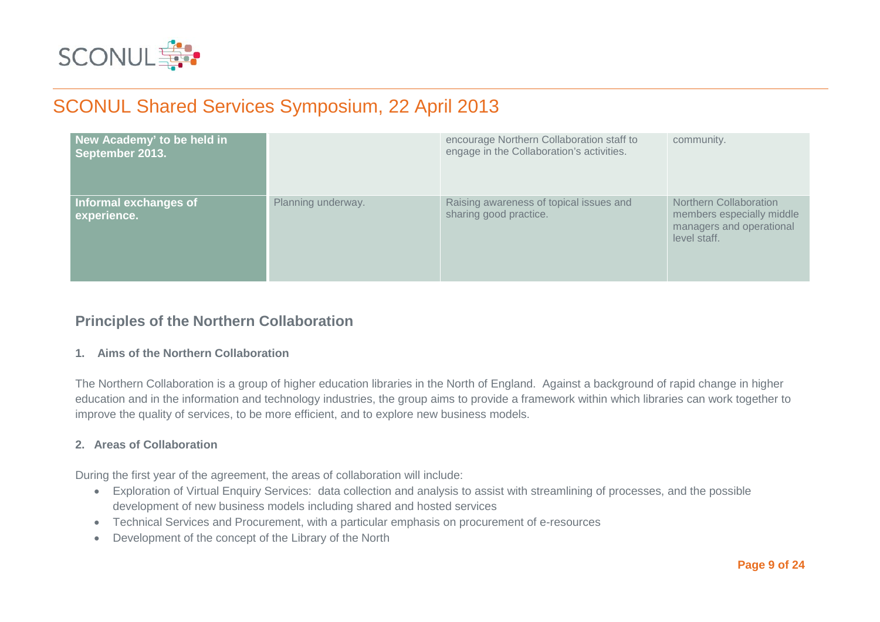

| New Academy' to be held in<br>September 2013. |                    | encourage Northern Collaboration staff to<br>engage in the Collaboration's activities. | community.                                                                                      |
|-----------------------------------------------|--------------------|----------------------------------------------------------------------------------------|-------------------------------------------------------------------------------------------------|
| Informal exchanges of<br>experience.          | Planning underway. | Raising awareness of topical issues and<br>sharing good practice.                      | Northern Collaboration<br>members especially middle<br>managers and operational<br>level staff. |

### **Principles of the Northern Collaboration**

### **1. Aims of the Northern Collaboration**

The Northern Collaboration is a group of higher education libraries in the North of England. Against a background of rapid change in higher education and in the information and technology industries, the group aims to provide a framework within which libraries can work together to improve the quality of services, to be more efficient, and to explore new business models.

### **2. Areas of Collaboration**

During the first year of the agreement, the areas of collaboration will include:

- Exploration of Virtual Enquiry Services: data collection and analysis to assist with streamlining of processes, and the possible development of new business models including shared and hosted services
- Technical Services and Procurement, with a particular emphasis on procurement of e-resources
- Development of the concept of the Library of the North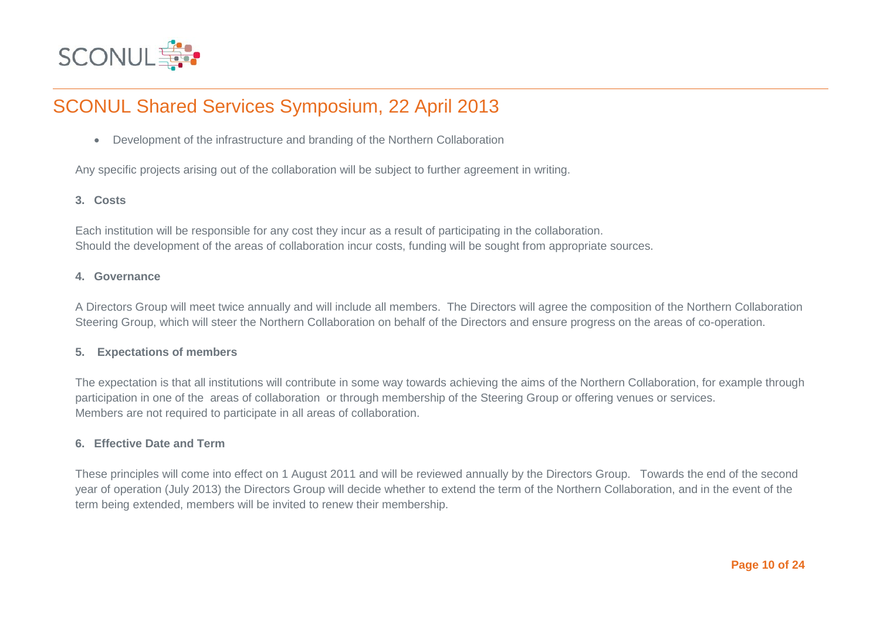

• Development of the infrastructure and branding of the Northern Collaboration

Any specific projects arising out of the collaboration will be subject to further agreement in writing.

### **3. Costs**

Each institution will be responsible for any cost they incur as a result of participating in the collaboration. Should the development of the areas of collaboration incur costs, funding will be sought from appropriate sources.

#### **4. Governance**

A Directors Group will meet twice annually and will include all members. The Directors will agree the composition of the Northern Collaboration Steering Group, which will steer the Northern Collaboration on behalf of the Directors and ensure progress on the areas of co-operation.

### **5. Expectations of members**

The expectation is that all institutions will contribute in some way towards achieving the aims of the Northern Collaboration, for example through participation in one of the areas of collaboration or through membership of the Steering Group or offering venues or services. Members are not required to participate in all areas of collaboration.

### **6. Effective Date and Term**

These principles will come into effect on 1 August 2011 and will be reviewed annually by the Directors Group. Towards the end of the second year of operation (July 2013) the Directors Group will decide whether to extend the term of the Northern Collaboration, and in the event of the term being extended, members will be invited to renew their membership.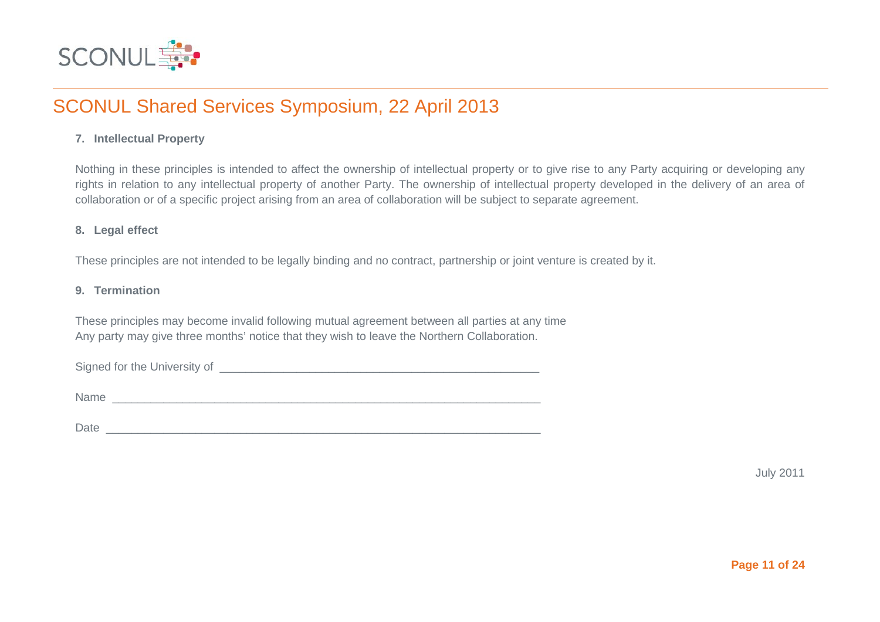

### **7. Intellectual Property**

Nothing in these principles is intended to affect the ownership of intellectual property or to give rise to any Party acquiring or developing any rights in relation to any intellectual property of another Party. The ownership of intellectual property developed in the delivery of an area of collaboration or of a specific project arising from an area of collaboration will be subject to separate agreement.

### **8. Legal effect**

These principles are not intended to be legally binding and no contract, partnership or joint venture is created by it.

### **9. Termination**

These principles may become invalid following mutual agreement between all parties at any time Any party may give three months' notice that they wish to leave the Northern Collaboration.

Signed for the University of \_\_\_\_\_\_\_\_\_\_\_\_\_\_\_\_\_\_\_\_\_\_\_\_\_\_\_\_\_\_\_\_\_\_\_\_\_\_\_\_\_\_\_\_\_\_\_\_\_\_

Name \_\_\_\_\_\_\_\_\_\_\_\_\_\_\_\_\_\_\_\_\_\_\_\_\_\_\_\_\_\_\_\_\_\_\_\_\_\_\_\_\_\_\_\_\_\_\_\_\_\_\_\_\_\_\_\_\_\_\_\_\_\_\_\_\_\_\_

Date \_\_\_\_\_\_\_\_\_\_\_\_\_\_\_\_\_\_\_\_\_\_\_\_\_\_\_\_\_\_\_\_\_\_\_\_\_\_\_\_\_\_\_\_\_\_\_\_\_\_\_\_\_\_\_\_\_\_\_\_\_\_\_\_\_\_\_\_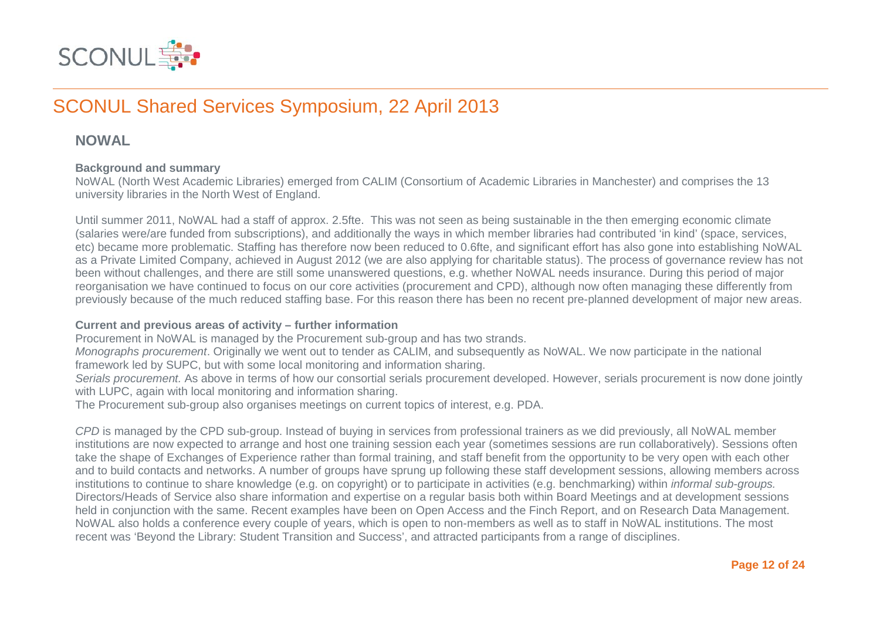

### **NOWAL**

### **Background and summary**

NoWAL (North West Academic Libraries) emerged from CALIM (Consortium of Academic Libraries in Manchester) and comprises the 13 university libraries in the North West of England.

Until summer 2011, NoWAL had a staff of approx. 2.5fte. This was not seen as being sustainable in the then emerging economic climate (salaries were/are funded from subscriptions), and additionally the ways in which member libraries had contributed 'in kind' (space, services, etc) became more problematic. Staffing has therefore now been reduced to 0.6fte, and significant effort has also gone into establishing NoWAL as a Private Limited Company, achieved in August 2012 (we are also applying for charitable status). The process of governance review has not been without challenges, and there are still some unanswered questions, e.g. whether NoWAL needs insurance. During this period of major reorganisation we have continued to focus on our core activities (procurement and CPD), although now often managing these differently from previously because of the much reduced staffing base. For this reason there has been no recent pre-planned development of major new areas.

### **Current and previous areas of activity – further information**

Procurement in NoWAL is managed by the Procurement sub-group and has two strands.

*Monographs procurement*. Originally we went out to tender as CALIM, and subsequently as NoWAL. We now participate in the national framework led by SUPC, but with some local monitoring and information sharing.

*Serials procurement.* As above in terms of how our consortial serials procurement developed. However, serials procurement is now done jointly with LUPC, again with local monitoring and information sharing.

The Procurement sub-group also organises meetings on current topics of interest, e.g. PDA.

*CPD* is managed by the CPD sub-group. Instead of buying in services from professional trainers as we did previously, all NoWAL member institutions are now expected to arrange and host one training session each year (sometimes sessions are run collaboratively). Sessions often take the shape of Exchanges of Experience rather than formal training, and staff benefit from the opportunity to be very open with each other and to build contacts and networks. A number of groups have sprung up following these staff development sessions, allowing members across institutions to continue to share knowledge (e.g. on copyright) or to participate in activities (e.g. benchmarking) within *informal sub-groups.* Directors/Heads of Service also share information and expertise on a regular basis both within Board Meetings and at development sessions held in conjunction with the same. Recent examples have been on Open Access and the Finch Report, and on Research Data Management. NoWAL also holds a conference every couple of years, which is open to non-members as well as to staff in NoWAL institutions. The most recent was 'Beyond the Library: Student Transition and Success', and attracted participants from a range of disciplines.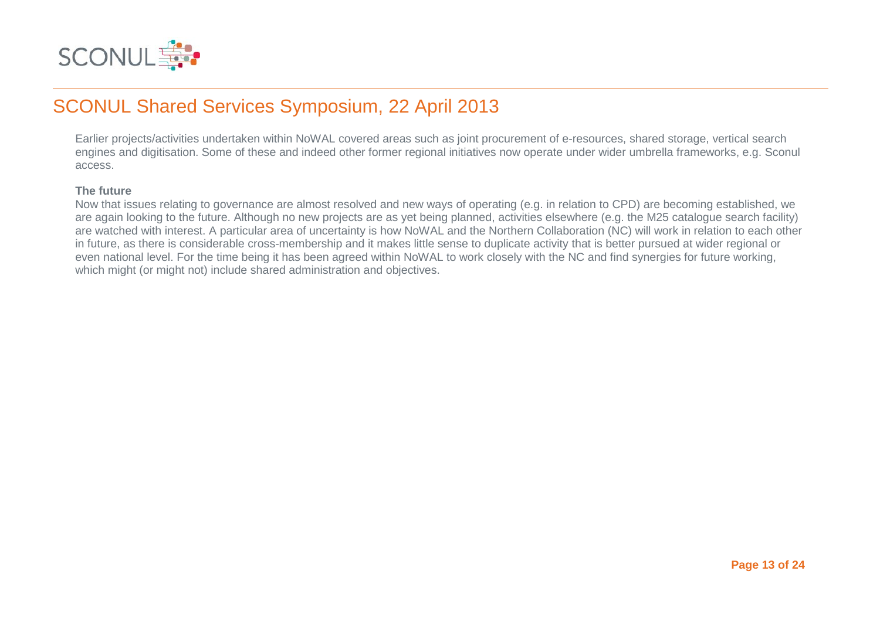

Earlier projects/activities undertaken within NoWAL covered areas such as joint procurement of e-resources, shared storage, vertical search engines and digitisation. Some of these and indeed other former regional initiatives now operate under wider umbrella frameworks, e.g. Sconul access.

#### **The future**

Now that issues relating to governance are almost resolved and new ways of operating (e.g. in relation to CPD) are becoming established, we are again looking to the future. Although no new projects are as yet being planned, activities elsewhere (e.g. the M25 catalogue search facility) are watched with interest. A particular area of uncertainty is how NoWAL and the Northern Collaboration (NC) will work in relation to each other in future, as there is considerable cross-membership and it makes little sense to duplicate activity that is better pursued at wider regional or even national level. For the time being it has been agreed within NoWAL to work closely with the NC and find synergies for future working, which might (or might not) include shared administration and objectives.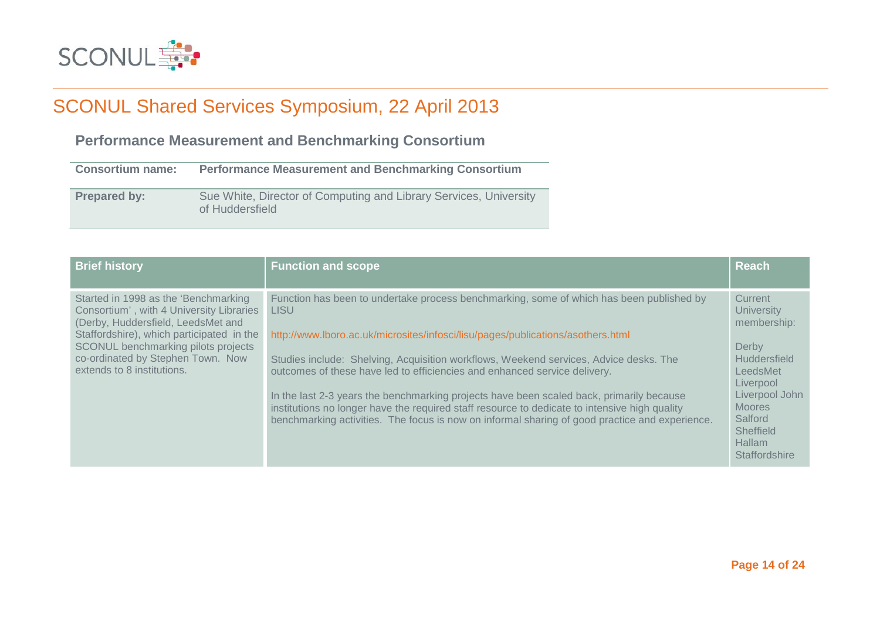

### **Performance Measurement and Benchmarking Consortium**

| <b>Consortium name:</b> | <b>Performance Measurement and Benchmarking Consortium</b>                           |
|-------------------------|--------------------------------------------------------------------------------------|
| <b>Prepared by:</b>     | Sue White, Director of Computing and Library Services, University<br>of Huddersfield |

| <b>Brief history</b>                                                                                                                                                                                                                                                          | <b>Function and scope</b>                                                                                                                                                                                                                                                                                                                                                                                                                                                                                                                                                                                                                                       | <b>Reach</b>                                                                                                                                                                                      |
|-------------------------------------------------------------------------------------------------------------------------------------------------------------------------------------------------------------------------------------------------------------------------------|-----------------------------------------------------------------------------------------------------------------------------------------------------------------------------------------------------------------------------------------------------------------------------------------------------------------------------------------------------------------------------------------------------------------------------------------------------------------------------------------------------------------------------------------------------------------------------------------------------------------------------------------------------------------|---------------------------------------------------------------------------------------------------------------------------------------------------------------------------------------------------|
| Started in 1998 as the 'Benchmarking<br>Consortium', with 4 University Libraries<br>(Derby, Huddersfield, LeedsMet and<br>Staffordshire), which participated in the<br>SCONUL benchmarking pilots projects<br>co-ordinated by Stephen Town. Now<br>extends to 8 institutions. | Function has been to undertake process benchmarking, some of which has been published by<br><b>LISU</b><br>http://www.lboro.ac.uk/microsites/infosci/lisu/pages/publications/asothers.html<br>Studies include: Shelving, Acquisition workflows, Weekend services, Advice desks. The<br>outcomes of these have led to efficiencies and enhanced service delivery.<br>In the last 2-3 years the benchmarking projects have been scaled back, primarily because<br>institutions no longer have the required staff resource to dedicate to intensive high quality<br>benchmarking activities. The focus is now on informal sharing of good practice and experience. | Current<br><b>University</b><br>membership:<br>Derby<br><b>Huddersfield</b><br>LeedsMet<br>Liverpool<br>Liverpool John<br><b>Moores</b><br>Salford<br>Sheffield<br><b>Hallam</b><br>Staffordshire |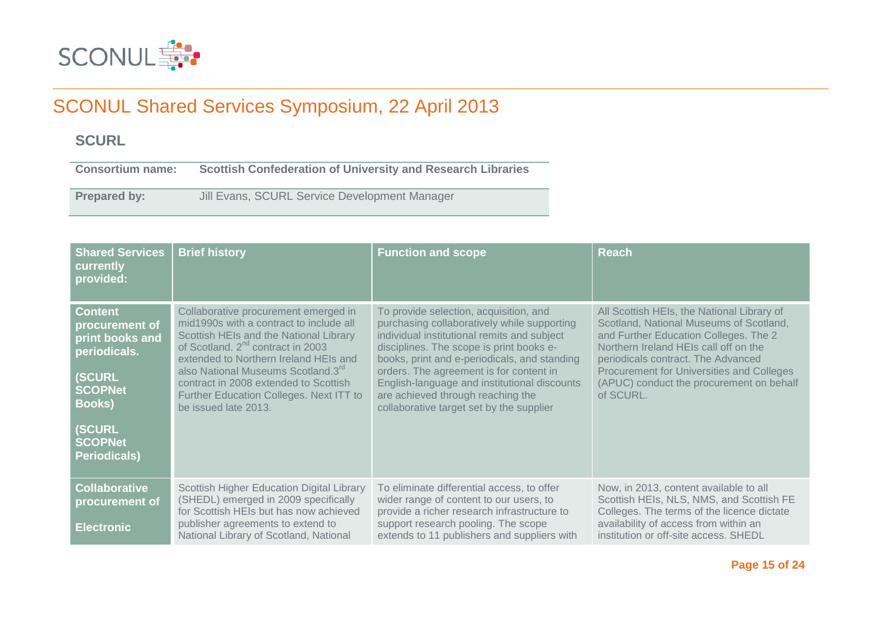

### **SCURL**

**Consortium name: Scottish Confederation of University and Research Libraries**

**Prepared by:** Jill Evans, SCURL Service Development Manager

| <b>Shared Services</b><br>currently<br>provided:                                                                                                                         | <b>Brief history</b>                                                                                                                                                                                                                                                                                                                                                              | <b>Function and scope</b>                                                                                                                                                                                                                                                                                                                                                                                    | <b>Reach</b>                                                                                                                                                                                                                                                                                                               |
|--------------------------------------------------------------------------------------------------------------------------------------------------------------------------|-----------------------------------------------------------------------------------------------------------------------------------------------------------------------------------------------------------------------------------------------------------------------------------------------------------------------------------------------------------------------------------|--------------------------------------------------------------------------------------------------------------------------------------------------------------------------------------------------------------------------------------------------------------------------------------------------------------------------------------------------------------------------------------------------------------|----------------------------------------------------------------------------------------------------------------------------------------------------------------------------------------------------------------------------------------------------------------------------------------------------------------------------|
| <b>Content</b><br>procurement of<br>print books and<br>periodicals.<br><b>SCURL</b><br><b>SCOPNet</b><br><b>Books)</b><br><b>SCURL</b><br><b>SCOPNet</b><br>Periodicals) | Collaborative procurement emerged in<br>mid1990s with a contract to include all<br>Scottish HEIs and the National Library<br>of Scotland. 2 <sup>nd</sup> contract in 2003<br>extended to Northern Ireland HEIs and<br>also National Museums Scotland.3 <sup>rd</sup><br>contract in 2008 extended to Scottish<br>Further Education Colleges. Next ITT to<br>be issued late 2013. | To provide selection, acquisition, and<br>purchasing collaboratively while supporting<br>individual institutional remits and subject<br>disciplines. The scope is print books e-<br>books, print and e-periodicals, and standing<br>orders. The agreement is for content in<br>English-language and institutional discounts<br>are achieved through reaching the<br>collaborative target set by the supplier | All Scottish HEIs, the National Library of<br>Scotland, National Museums of Scotland,<br>and Further Education Colleges. The 2<br>Northern Ireland HEIs call off on the<br>periodicals contract. The Advanced<br><b>Procurement for Universities and Colleges</b><br>(APUC) conduct the procurement on behalf<br>of SCURL. |
| <b>Collaborative</b><br>procurement of<br><b>Electronic</b>                                                                                                              | Scottish Higher Education Digital Library<br>(SHEDL) emerged in 2009 specifically<br>for Scottish HEIs but has now achieved<br>publisher agreements to extend to<br>National Library of Scotland, National                                                                                                                                                                        | To eliminate differential access, to offer<br>wider range of content to our users, to<br>provide a richer research infrastructure to<br>support research pooling. The scope<br>extends to 11 publishers and suppliers with                                                                                                                                                                                   | Now, in 2013, content available to all<br>Scottish HEIs, NLS, NMS, and Scottish FE<br>Colleges. The terms of the licence dictate<br>availability of access from within an<br>institution or off-site access. SHEDL                                                                                                         |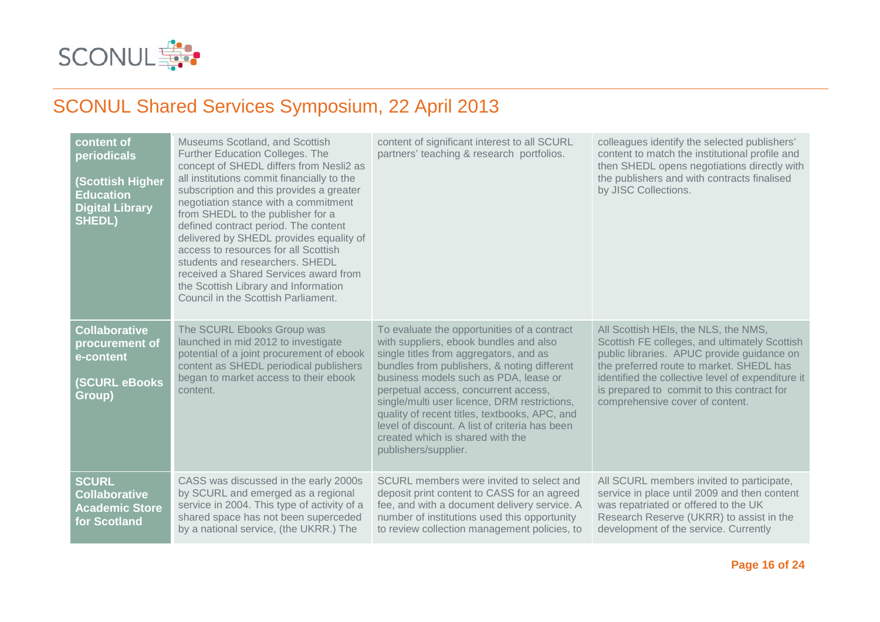

| content of<br>periodicals<br><b>Scottish Higher</b><br><b>Education</b><br><b>Digital Library</b><br><b>SHEDL)</b> | Museums Scotland, and Scottish<br>Further Education Colleges. The<br>concept of SHEDL differs from Nesli2 as<br>all institutions commit financially to the<br>subscription and this provides a greater<br>negotiation stance with a commitment<br>from SHEDL to the publisher for a<br>defined contract period. The content<br>delivered by SHEDL provides equality of<br>access to resources for all Scottish<br>students and researchers. SHEDL<br>received a Shared Services award from<br>the Scottish Library and Information<br>Council in the Scottish Parliament. | content of significant interest to all SCURL<br>partners' teaching & research portfolios.                                                                                                                                                                                                                                                                                                                                                                                      | colleagues identify the selected publishers'<br>content to match the institutional profile and<br>then SHEDL opens negotiations directly with<br>the publishers and with contracts finalised<br>by JISC Collections.                                                                                                  |
|--------------------------------------------------------------------------------------------------------------------|---------------------------------------------------------------------------------------------------------------------------------------------------------------------------------------------------------------------------------------------------------------------------------------------------------------------------------------------------------------------------------------------------------------------------------------------------------------------------------------------------------------------------------------------------------------------------|--------------------------------------------------------------------------------------------------------------------------------------------------------------------------------------------------------------------------------------------------------------------------------------------------------------------------------------------------------------------------------------------------------------------------------------------------------------------------------|-----------------------------------------------------------------------------------------------------------------------------------------------------------------------------------------------------------------------------------------------------------------------------------------------------------------------|
| <b>Collaborative</b><br>procurement of<br>e-content<br><b>(SCURL eBooks</b><br>Group)                              | The SCURL Ebooks Group was<br>launched in mid 2012 to investigate<br>potential of a joint procurement of ebook<br>content as SHEDL periodical publishers<br>began to market access to their ebook<br>content.                                                                                                                                                                                                                                                                                                                                                             | To evaluate the opportunities of a contract<br>with suppliers, ebook bundles and also<br>single titles from aggregators, and as<br>bundles from publishers, & noting different<br>business models such as PDA, lease or<br>perpetual access, concurrent access,<br>single/multi user licence, DRM restrictions,<br>quality of recent titles, textbooks, APC, and<br>level of discount. A list of criteria has been<br>created which is shared with the<br>publishers/supplier. | All Scottish HEIs, the NLS, the NMS,<br>Scottish FE colleges, and ultimately Scottish<br>public libraries. APUC provide guidance on<br>the preferred route to market. SHEDL has<br>identified the collective level of expenditure it<br>is prepared to commit to this contract for<br>comprehensive cover of content. |
| <b>SCURL</b><br><b>Collaborative</b><br><b>Academic Store</b><br>for Scotland                                      | CASS was discussed in the early 2000s<br>by SCURL and emerged as a regional<br>service in 2004. This type of activity of a<br>shared space has not been superceded<br>by a national service, (the UKRR.) The                                                                                                                                                                                                                                                                                                                                                              | SCURL members were invited to select and<br>deposit print content to CASS for an agreed<br>fee, and with a document delivery service. A<br>number of institutions used this opportunity<br>to review collection management policies, to                                                                                                                                                                                                                                        | All SCURL members invited to participate,<br>service in place until 2009 and then content<br>was repatriated or offered to the UK<br>Research Reserve (UKRR) to assist in the<br>development of the service. Currently                                                                                                |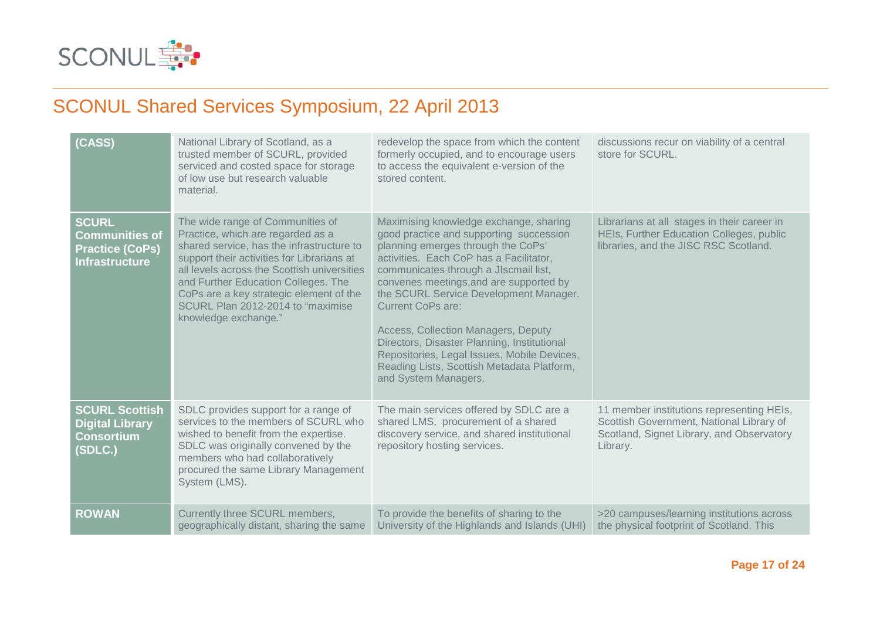

| (CASS)                                                                                   | National Library of Scotland, as a<br>trusted member of SCURL, provided<br>serviced and costed space for storage<br>of low use but research valuable<br>material.                                                                                                                                                                                               | redevelop the space from which the content<br>formerly occupied, and to encourage users<br>to access the equivalent e-version of the<br>stored content.                                                                                                                                                                                                                                                                                                                                                                                 | discussions recur on viability of a central<br>store for SCURL.                                                                                |
|------------------------------------------------------------------------------------------|-----------------------------------------------------------------------------------------------------------------------------------------------------------------------------------------------------------------------------------------------------------------------------------------------------------------------------------------------------------------|-----------------------------------------------------------------------------------------------------------------------------------------------------------------------------------------------------------------------------------------------------------------------------------------------------------------------------------------------------------------------------------------------------------------------------------------------------------------------------------------------------------------------------------------|------------------------------------------------------------------------------------------------------------------------------------------------|
| <b>SCURL</b><br><b>Communities of</b><br><b>Practice (CoPs)</b><br><b>Infrastructure</b> | The wide range of Communities of<br>Practice, which are regarded as a<br>shared service, has the infrastructure to<br>support their activities for Librarians at<br>all levels across the Scottish universities<br>and Further Education Colleges. The<br>CoPs are a key strategic element of the<br>SCURL Plan 2012-2014 to "maximise"<br>knowledge exchange." | Maximising knowledge exchange, sharing<br>good practice and supporting succession<br>planning emerges through the CoPs'<br>activities. Each CoP has a Facilitator,<br>communicates through a JIscmail list,<br>convenes meetings, and are supported by<br>the SCURL Service Development Manager.<br><b>Current CoPs are:</b><br>Access, Collection Managers, Deputy<br>Directors, Disaster Planning, Institutional<br>Repositories, Legal Issues, Mobile Devices,<br>Reading Lists, Scottish Metadata Platform,<br>and System Managers. | Librarians at all stages in their career in<br>HEIs, Further Education Colleges, public<br>libraries, and the JISC RSC Scotland.               |
| <b>SCURL Scottish</b><br><b>Digital Library</b><br><b>Consortium</b><br>(SDLC.)          | SDLC provides support for a range of<br>services to the members of SCURL who<br>wished to benefit from the expertise.<br>SDLC was originally convened by the<br>members who had collaboratively<br>procured the same Library Management<br>System (LMS).                                                                                                        | The main services offered by SDLC are a<br>shared LMS, procurement of a shared<br>discovery service, and shared institutional<br>repository hosting services.                                                                                                                                                                                                                                                                                                                                                                           | 11 member institutions representing HEIs,<br>Scottish Government, National Library of<br>Scotland, Signet Library, and Observatory<br>Library. |
| <b>ROWAN</b>                                                                             | Currently three SCURL members,<br>geographically distant, sharing the same                                                                                                                                                                                                                                                                                      | To provide the benefits of sharing to the<br>University of the Highlands and Islands (UHI)                                                                                                                                                                                                                                                                                                                                                                                                                                              | >20 campuses/learning institutions across<br>the physical footprint of Scotland. This                                                          |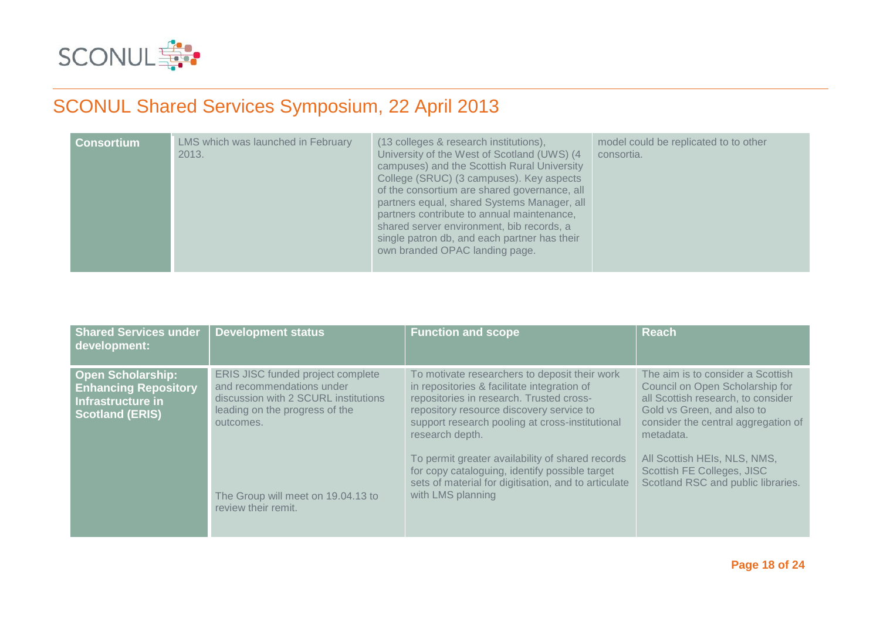

| <b>Consortium</b> | LMS which was launched in February<br>2013. | (13 colleges & research institutions),<br>University of the West of Scotland (UWS) (4)<br>campuses) and the Scottish Rural University<br>College (SRUC) (3 campuses). Key aspects<br>of the consortium are shared governance, all<br>partners equal, shared Systems Manager, all<br>partners contribute to annual maintenance,<br>shared server environment, bib records, a<br>single patron db, and each partner has their<br>own branded OPAC landing page. | model could be replicated to to other<br>consortia. |
|-------------------|---------------------------------------------|---------------------------------------------------------------------------------------------------------------------------------------------------------------------------------------------------------------------------------------------------------------------------------------------------------------------------------------------------------------------------------------------------------------------------------------------------------------|-----------------------------------------------------|
|-------------------|---------------------------------------------|---------------------------------------------------------------------------------------------------------------------------------------------------------------------------------------------------------------------------------------------------------------------------------------------------------------------------------------------------------------------------------------------------------------------------------------------------------------|-----------------------------------------------------|

| <b>Shared Services under</b><br>development:                                                           | <b>Development status</b>                                                                                                                             | <b>Function and scope</b>                                                                                                                                                                                                                                  | <b>Reach</b>                                                                                                                                                                                 |
|--------------------------------------------------------------------------------------------------------|-------------------------------------------------------------------------------------------------------------------------------------------------------|------------------------------------------------------------------------------------------------------------------------------------------------------------------------------------------------------------------------------------------------------------|----------------------------------------------------------------------------------------------------------------------------------------------------------------------------------------------|
| <b>Open Scholarship:</b><br><b>Enhancing Repository</b><br>Infrastructure in<br><b>Scotland (ERIS)</b> | ERIS JISC funded project complete<br>and recommendations under<br>discussion with 2 SCURL institutions<br>leading on the progress of the<br>outcomes. | To motivate researchers to deposit their work<br>in repositories & facilitate integration of<br>repositories in research. Trusted cross-<br>repository resource discovery service to<br>support research pooling at cross-institutional<br>research depth. | The aim is to consider a Scottish<br>Council on Open Scholarship for<br>all Scottish research, to consider<br>Gold vs Green, and also to<br>consider the central aggregation of<br>metadata. |
|                                                                                                        | The Group will meet on 19.04.13 to<br>review their remit.                                                                                             | To permit greater availability of shared records<br>for copy cataloguing, identify possible target<br>sets of material for digitisation, and to articulate<br>with LMS planning                                                                            | All Scottish HEIs, NLS, NMS,<br>Scottish FE Colleges, JISC<br>Scotland RSC and public libraries.                                                                                             |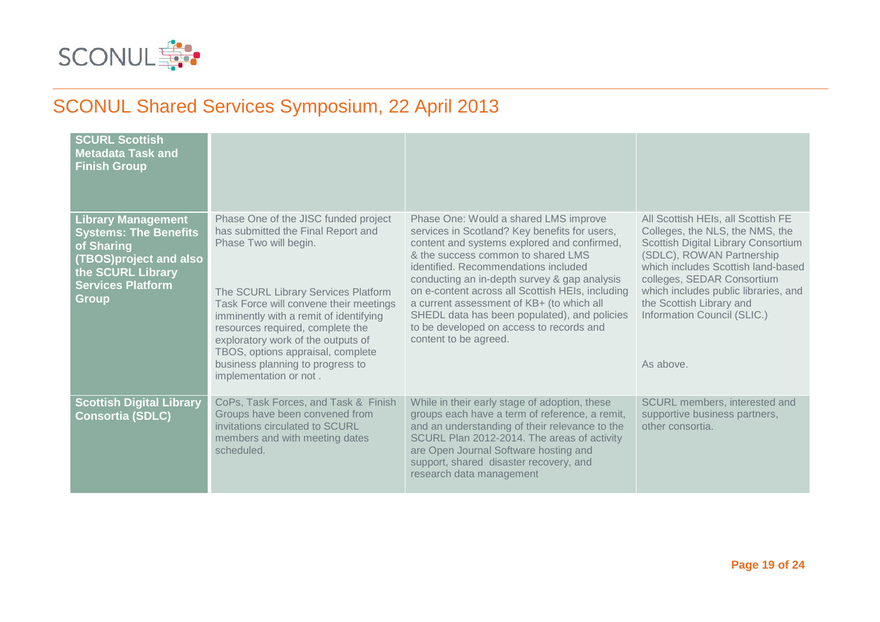

| <b>SCURL Scottish</b><br><b>Metadata Task and</b><br><b>Finish Group</b>                                                                                           |                                                                                                                                                                                                                                                                                                                                                                                                             |                                                                                                                                                                                                                                                                                                                                                                                                                                                                                           |                                                                                                                                                                                                                                                                                                                               |
|--------------------------------------------------------------------------------------------------------------------------------------------------------------------|-------------------------------------------------------------------------------------------------------------------------------------------------------------------------------------------------------------------------------------------------------------------------------------------------------------------------------------------------------------------------------------------------------------|-------------------------------------------------------------------------------------------------------------------------------------------------------------------------------------------------------------------------------------------------------------------------------------------------------------------------------------------------------------------------------------------------------------------------------------------------------------------------------------------|-------------------------------------------------------------------------------------------------------------------------------------------------------------------------------------------------------------------------------------------------------------------------------------------------------------------------------|
| <b>Library Management</b><br><b>Systems: The Benefits</b><br>of Sharing<br>(TBOS)project and also<br>the SCURL Library<br><b>Services Platform</b><br><b>Group</b> | Phase One of the JISC funded project<br>has submitted the Final Report and<br>Phase Two will begin.<br>The SCURL Library Services Platform<br>Task Force will convene their meetings<br>imminently with a remit of identifying<br>resources required, complete the<br>exploratory work of the outputs of<br>TBOS, options appraisal, complete<br>business planning to progress to<br>implementation or not. | Phase One: Would a shared LMS improve<br>services in Scotland? Key benefits for users,<br>content and systems explored and confirmed,<br>& the success common to shared LMS<br>identified. Recommendations included<br>conducting an in-depth survey & gap analysis<br>on e-content across all Scottish HEIs, including<br>a current assessment of KB+ (to which all<br>SHEDL data has been populated), and policies<br>to be developed on access to records and<br>content to be agreed. | All Scottish HEIs, all Scottish FE<br>Colleges, the NLS, the NMS, the<br>Scottish Digital Library Consortium<br>(SDLC), ROWAN Partnership<br>which includes Scottish land-based<br>colleges, SEDAR Consortium<br>which includes public libraries, and<br>the Scottish Library and<br>Information Council (SLIC.)<br>As above. |
| <b>Scottish Digital Library</b><br>Consortia (SDLC)                                                                                                                | CoPs, Task Forces, and Task & Finish<br>Groups have been convened from<br>invitations circulated to SCURL<br>members and with meeting dates<br>scheduled.                                                                                                                                                                                                                                                   | While in their early stage of adoption, these<br>groups each have a term of reference, a remit,<br>and an understanding of their relevance to the<br>SCURL Plan 2012-2014. The areas of activity<br>are Open Journal Software hosting and<br>support, shared disaster recovery, and<br>research data management                                                                                                                                                                           | SCURL members, interested and<br>supportive business partners,<br>other consortia.                                                                                                                                                                                                                                            |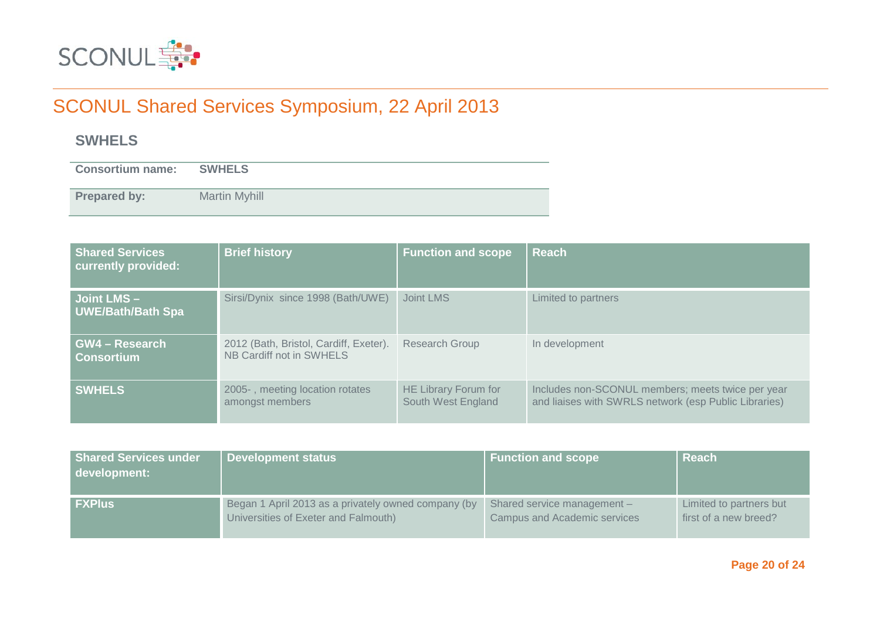

### **SWHELS**

**Consortium name: SWHELS**

**Prepared by:** Martin Myhill

| <b>Shared Services</b><br>currently provided: | <b>Brief history</b>                                               | <b>Function and scope</b>                  | <b>Reach</b>                                                                                               |
|-----------------------------------------------|--------------------------------------------------------------------|--------------------------------------------|------------------------------------------------------------------------------------------------------------|
| Joint LMS-<br><b>UWE/Bath/Bath Spa</b>        | Sirsi/Dynix since 1998 (Bath/UWE)                                  | Joint LMS                                  | Limited to partners                                                                                        |
| <b>GW4 - Research</b><br><b>Consortium</b>    | 2012 (Bath, Bristol, Cardiff, Exeter).<br>NB Cardiff not in SWHELS | <b>Research Group</b>                      | In development                                                                                             |
| <b>SWHELS</b>                                 | 2005-, meeting location rotates<br>amongst members                 | HE Library Forum for<br>South West England | Includes non-SCONUL members; meets twice per year<br>and liaises with SWRLS network (esp Public Libraries) |

| <b>Shared Services under</b><br>development: | Development status                                  | <b>Function and scope</b>           | <b>Reach</b>            |
|----------------------------------------------|-----------------------------------------------------|-------------------------------------|-------------------------|
| <b>FXPlus</b>                                | Began 1 April 2013 as a privately owned company (by | Shared service management -         | Limited to partners but |
|                                              | Universities of Exeter and Falmouth)                | <b>Campus and Academic services</b> | first of a new breed?   |

**Page 20 of 24**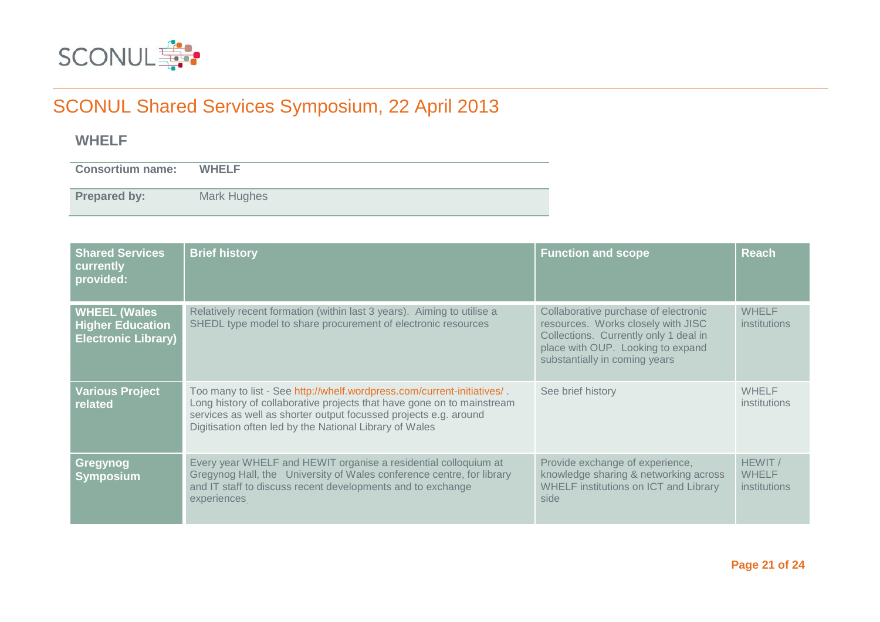

### **WHELF**

**Consortium name: WHELF**

**Prepared by:** Mark Hughes

| <b>Shared Services</b><br>currently<br>provided:                             | <b>Brief history</b>                                                                                                                                                                                                                                                             | <b>Function and scope</b>                                                                                                                                                                 | <b>Reach</b>                            |
|------------------------------------------------------------------------------|----------------------------------------------------------------------------------------------------------------------------------------------------------------------------------------------------------------------------------------------------------------------------------|-------------------------------------------------------------------------------------------------------------------------------------------------------------------------------------------|-----------------------------------------|
| <b>WHEEL (Wales</b><br><b>Higher Education</b><br><b>Electronic Library)</b> | Relatively recent formation (within last 3 years). Aiming to utilise a<br>SHEDL type model to share procurement of electronic resources                                                                                                                                          | Collaborative purchase of electronic<br>resources. Works closely with JISC<br>Collections. Currently only 1 deal in<br>place with OUP. Looking to expand<br>substantially in coming years | <b>WHELF</b><br>institutions            |
| <b>Various Project</b><br>related                                            | Too many to list - See http://whelf.wordpress.com/current-initiatives/.<br>Long history of collaborative projects that have gone on to mainstream<br>services as well as shorter output focussed projects e.g. around<br>Digitisation often led by the National Library of Wales | See brief history                                                                                                                                                                         | <b>WHELF</b><br>institutions            |
| Gregynog<br><b>Symposium</b>                                                 | Every year WHELF and HEWIT organise a residential colloquium at<br>Gregynog Hall, the University of Wales conference centre, for library<br>and IT staff to discuss recent developments and to exchange<br>experiences                                                           | Provide exchange of experience,<br>knowledge sharing & networking across<br><b>WHELF institutions on ICT and Library</b><br>side                                                          | HEWIT /<br><b>WHELF</b><br>institutions |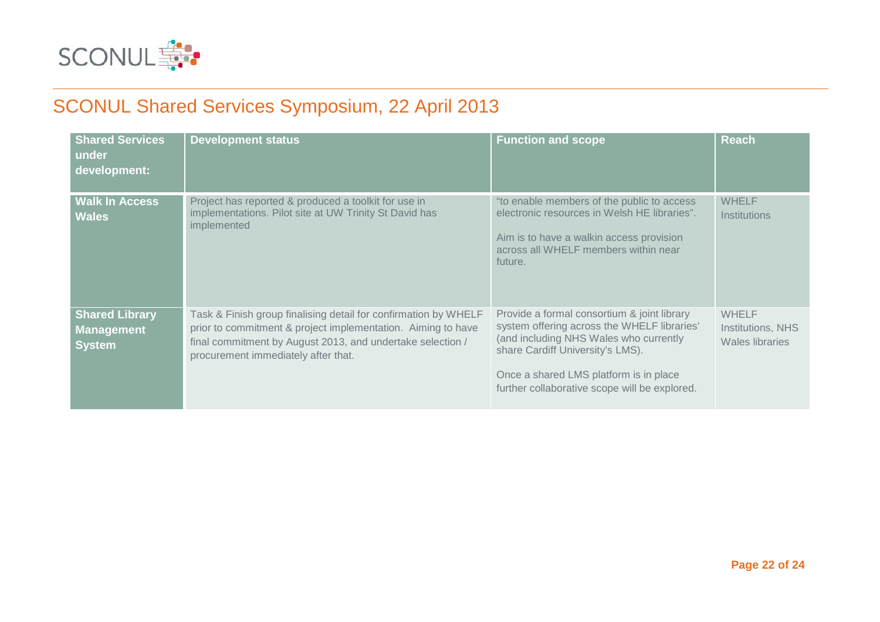

| <b>Shared Services</b><br>under<br>development:             | <b>Development status</b>                                                                                                                                                                                                            | <b>Function and scope</b>                                                                                                                                                                                                                                           | <b>Reach</b>                                         |
|-------------------------------------------------------------|--------------------------------------------------------------------------------------------------------------------------------------------------------------------------------------------------------------------------------------|---------------------------------------------------------------------------------------------------------------------------------------------------------------------------------------------------------------------------------------------------------------------|------------------------------------------------------|
| <b>Walk In Access</b><br><b>Wales</b>                       | Project has reported & produced a toolkit for use in<br>implementations. Pilot site at UW Trinity St David has<br>implemented                                                                                                        | "to enable members of the public to access<br>electronic resources in Welsh HE libraries".<br>Aim is to have a walkin access provision<br>across all WHELF members within near<br>future.                                                                           | <b>WHELF</b><br><b>Institutions</b>                  |
| <b>Shared Library</b><br><b>Management</b><br><b>System</b> | Task & Finish group finalising detail for confirmation by WHELF<br>prior to commitment & project implementation. Aiming to have<br>final commitment by August 2013, and undertake selection /<br>procurement immediately after that. | Provide a formal consortium & joint library<br>system offering across the WHELF libraries'<br>(and including NHS Wales who currently<br>share Cardiff University's LMS).<br>Once a shared LMS platform is in place<br>further collaborative scope will be explored. | <b>WHELF</b><br>Institutions, NHS<br>Wales libraries |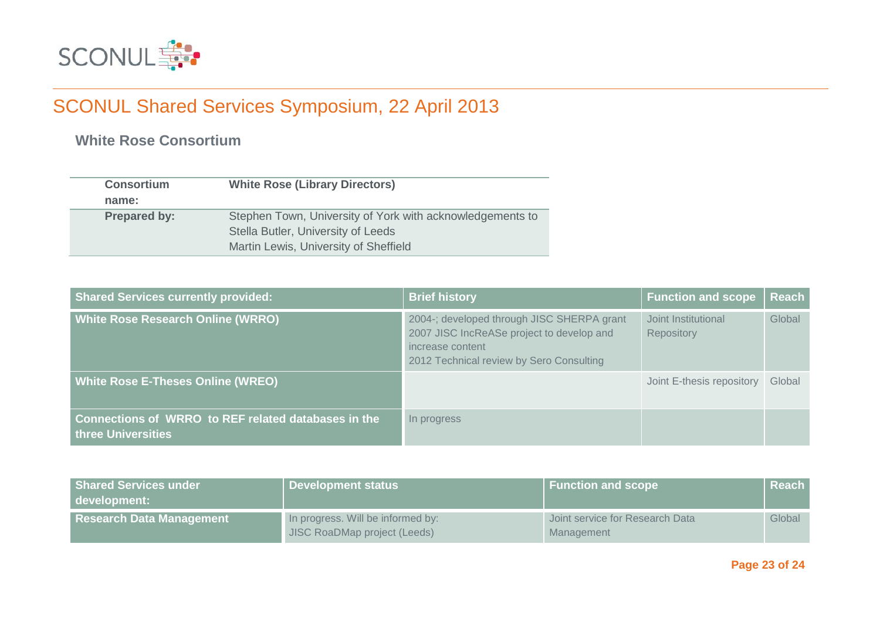

**White Rose Consortium**

| <b>Consortium</b>   | <b>White Rose (Library Directors)</b>                     |
|---------------------|-----------------------------------------------------------|
| name:               |                                                           |
| <b>Prepared by:</b> | Stephen Town, University of York with acknowledgements to |
|                     | Stella Butler, University of Leeds                        |
|                     | Martin Lewis, University of Sheffield                     |

| <b>Shared Services currently provided:</b>                                | <b>Brief history</b>                                                                                                                                    | <b>Function and scope</b>         | <b>Reach</b> |
|---------------------------------------------------------------------------|---------------------------------------------------------------------------------------------------------------------------------------------------------|-----------------------------------|--------------|
| <b>White Rose Research Online (WRRO)</b>                                  | 2004-; developed through JISC SHERPA grant<br>2007 JISC IncReASe project to develop and<br>increase content<br>2012 Technical review by Sero Consulting | Joint Institutional<br>Repository | Global       |
| <b>White Rose E-Theses Online (WREO)</b>                                  |                                                                                                                                                         | Joint E-thesis repository         | Global       |
| Connections of WRRO to REF related databases in the<br>three Universities | In progress                                                                                                                                             |                                   |              |

| <b>Shared Services under</b><br>development: | Development status                                                | <b>Function and scope</b>                     | l Reach |
|----------------------------------------------|-------------------------------------------------------------------|-----------------------------------------------|---------|
| <b>Research Data Management</b>              | In progress. Will be informed by:<br>JISC RoaDMap project (Leeds) | Joint service for Research Data<br>Management | Global  |